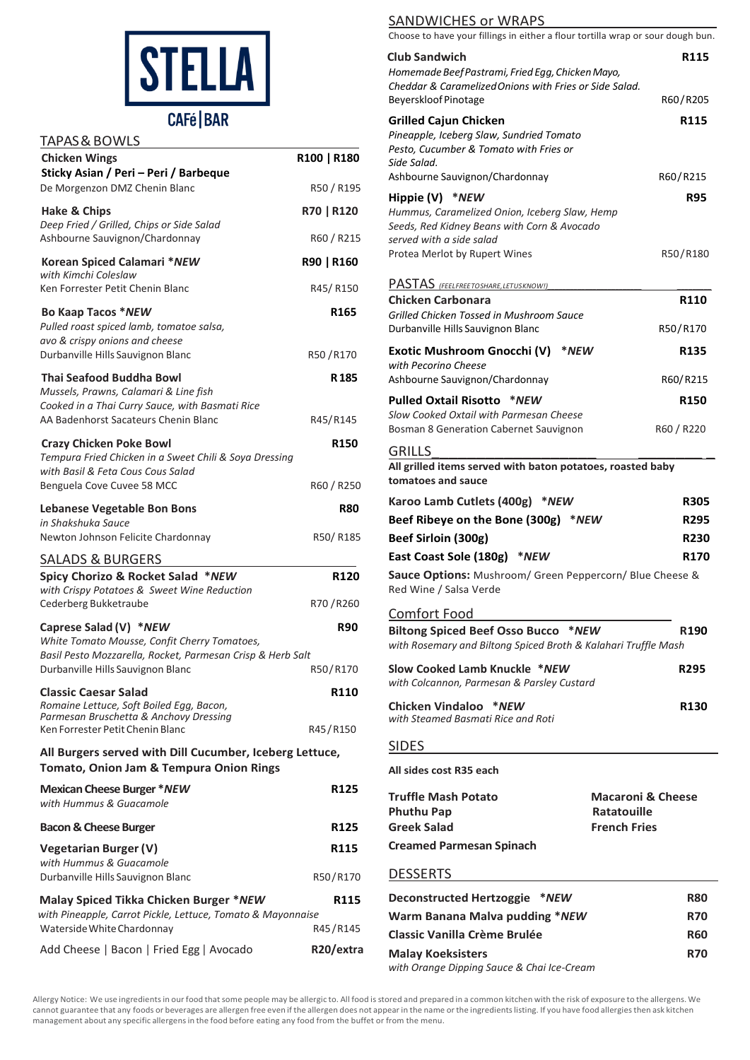

## **CAFé | BAR**

| <b>TAPAS &amp; BOWLS</b>                                                                                                             |                              |
|--------------------------------------------------------------------------------------------------------------------------------------|------------------------------|
| <b>Chicken Wings</b><br>Sticky Asian / Peri - Peri / Barbeque                                                                        | R100   R180                  |
| De Morgenzon DMZ Chenin Blanc                                                                                                        | R50 / R195                   |
| Hake & Chips<br>Deep Fried / Grilled, Chips or Side Salad                                                                            | R70   R120                   |
| Ashbourne Sauvignon/Chardonnay                                                                                                       | R60 / R215                   |
| Korean Spiced Calamari *NEW<br>with Kimchi Coleslaw                                                                                  | R90   R160                   |
| Ken Forrester Petit Chenin Blanc                                                                                                     | R45/R150                     |
| Bo Kaap Tacos *NEW<br>Pulled roast spiced lamb, tomatoe salsa,<br>avo & crispy onions and cheese                                     | R <sub>165</sub>             |
| Durbanville Hills Sauvignon Blanc                                                                                                    | R50/R170                     |
| <b>Thai Seafood Buddha Bowl</b><br>Mussels, Prawns, Calamari & Line fish                                                             | R 185                        |
| Cooked in a Thai Curry Sauce, with Basmati Rice<br>AA Badenhorst Sacateurs Chenin Blanc                                              | R45/R145                     |
|                                                                                                                                      |                              |
| <b>Crazy Chicken Poke Bowl</b><br>Tempura Fried Chicken in a Sweet Chili & Soya Dressing<br>with Basil & Feta Cous Cous Salad        | R150                         |
| Benguela Cove Cuvee 58 MCC                                                                                                           | R60 / R250                   |
| <b>Lebanese Vegetable Bon Bons</b><br>in Shakshuka Sauce                                                                             | R80                          |
| Newton Johnson Felicite Chardonnay                                                                                                   | R50/R185                     |
| <u>SALADS &amp; BURGERS</u>                                                                                                          |                              |
| Spicy Chorizo & Rocket Salad *NEW<br>with Crispy Potatoes & Sweet Wine Reduction<br>Cederberg Bukketraube                            | R <sub>120</sub><br>R70/R260 |
|                                                                                                                                      |                              |
| Caprese Salad (V) *NEW<br>White Tomato Mousse, Confit Cherry Tomatoes,<br>Basil Pesto Mozzarella, Rocket, Parmesan Crisp & Herb Salt | <b>R90</b>                   |
| Durbanville Hills Sauvignon Blanc                                                                                                    | R50/R170                     |
| <b>Classic Caesar Salad</b><br>Romaine Lettuce, Soft Boiled Egg, Bacon,<br>Parmesan Bruschetta & Anchovy Dressing                    | R110                         |
| Ken Forrester Petit Chenin Blanc                                                                                                     | R45/R150                     |
| All Burgers served with Dill Cucumber, Iceberg Lettuce,<br>Tomato, Onion Jam & Tempura Onion Rings                                   |                              |
| <b>Mexican Cheese Burger *NEW</b><br>with Hummus & Guacamole                                                                         | R125                         |
| <b>Bacon &amp; Cheese Burger</b>                                                                                                     | R125                         |
| <b>Vegetarian Burger (V)</b>                                                                                                         | R115                         |
| with Hummus & Guacamole<br>Durbanville Hills Sauvignon Blanc                                                                         | R50/R170                     |
| Malay Spiced Tikka Chicken Burger *NEW<br>with Pineapple, Carrot Pickle, Lettuce, Tomato & Mayonnaise                                | R115                         |
| Waterside White Chardonnay                                                                                                           | R45/R145                     |
| Add Cheese   Bacon   Fried Egg   Avocado                                                                                             | R20/extra                    |

#### SANDWICHES or WRAPS

Choose to have your fillings in either a flour tortilla wrap or sour dough bun.

| <b>Club Sandwich</b><br>Homemade Beef Pastrami, Fried Egg, Chicken Mayo,<br>Cheddar & Caramelized Onions with Fries or Side Salad.                                           | <b>R115</b>                                                               |
|------------------------------------------------------------------------------------------------------------------------------------------------------------------------------|---------------------------------------------------------------------------|
| Beyerskloof Pinotage                                                                                                                                                         | R60/R205                                                                  |
| <b>Grilled Cajun Chicken</b><br>Pineapple, Iceberg Slaw, Sundried Tomato<br>Pesto, Cucumber & Tomato with Fries or<br>Side Salad.                                            | R115                                                                      |
| Ashbourne Sauvignon/Chardonnay                                                                                                                                               | R60/R215                                                                  |
| Hippie (V) *NEW<br>Hummus, Caramelized Onion, Iceberg Slaw, Hemp<br>Seeds, Red Kidney Beans with Corn & Avocado<br>served with a side salad<br>Protea Merlot by Rupert Wines | <b>R95</b><br>R50/R180                                                    |
| PASTAS (FEELFREETOSHARE, LETUSKNOW!)<br><b>Chicken Carbonara</b>                                                                                                             | R <sub>110</sub>                                                          |
| Grilled Chicken Tossed in Mushroom Sauce<br>Durbanville Hills Sauvignon Blanc                                                                                                | R50/R170                                                                  |
| Exotic Mushroom Gnocchi (V)<br>*NEW<br>with Pecorino Cheese                                                                                                                  | R135                                                                      |
| Ashbourne Sauvignon/Chardonnay                                                                                                                                               | R60/R215                                                                  |
| Pulled Oxtail Risotto *NEW                                                                                                                                                   | <b>R150</b>                                                               |
| Slow Cooked Oxtail with Parmesan Cheese<br><b>Bosman 8 Generation Cabernet Sauvignon</b>                                                                                     | R60 / R220                                                                |
| <b>GRILLS</b><br>All grilled items served with baton potatoes, roasted baby<br>tomatoes and sauce                                                                            |                                                                           |
|                                                                                                                                                                              |                                                                           |
| Karoo Lamb Cutlets (400g)<br>*NEW                                                                                                                                            | R305                                                                      |
| Beef Ribeye on the Bone (300g) *NEW                                                                                                                                          | <b>R295</b>                                                               |
| Beef Sirloin (300g)                                                                                                                                                          | R230                                                                      |
| East Coast Sole (180g) *NEW<br>Sauce Options: Mushroom/ Green Peppercorn/ Blue Cheese &<br>Red Wine / Salsa Verde                                                            | R170                                                                      |
| Comfort Food<br>Biltong Spiced Beef Osso Bucco *NEW                                                                                                                          | R190                                                                      |
| with Rosemary and Biltong Spiced Broth & Kalahari Truffle Mash                                                                                                               |                                                                           |
| Slow Cooked Lamb Knuckle *NEW<br>with Colcannon, Parmesan & Parsley Custard                                                                                                  | R295                                                                      |
| Chicken Vindaloo *NEW<br>with Steamed Basmati Rice and Roti                                                                                                                  | R130                                                                      |
| <b>SIDES</b>                                                                                                                                                                 |                                                                           |
| All sides cost R35 each                                                                                                                                                      |                                                                           |
| <b>Truffle Mash Potato</b><br><b>Phuthu Pap</b><br><b>Greek Salad</b><br><b>Creamed Parmesan Spinach</b>                                                                     | <b>Macaroni &amp; Cheese</b><br><b>Ratatouille</b><br><b>French Fries</b> |
| <b>DESSERTS</b>                                                                                                                                                              |                                                                           |
|                                                                                                                                                                              | R80                                                                       |
| Deconstructed Hertzoggie *NEW<br>Warm Banana Malva pudding *NEW                                                                                                              | R70                                                                       |

**Malay Koeksisters** R70

*with Orange Dipping Sauce & Chai Ice-Cream*

Allergy Notice: We use ingredientsin our food thatsome people may be allergic to. All food isstored and prepared in a common kitchen with the risk of exposure to the allergens. We cannot guarantee that any foods or beverages are allergen free even if the allergen does not appear in the name orthe ingredientslisting. If you have food allergiesthen ask kitchen management about any specific allergensin the food before eating any food from the buffet or from the menu.